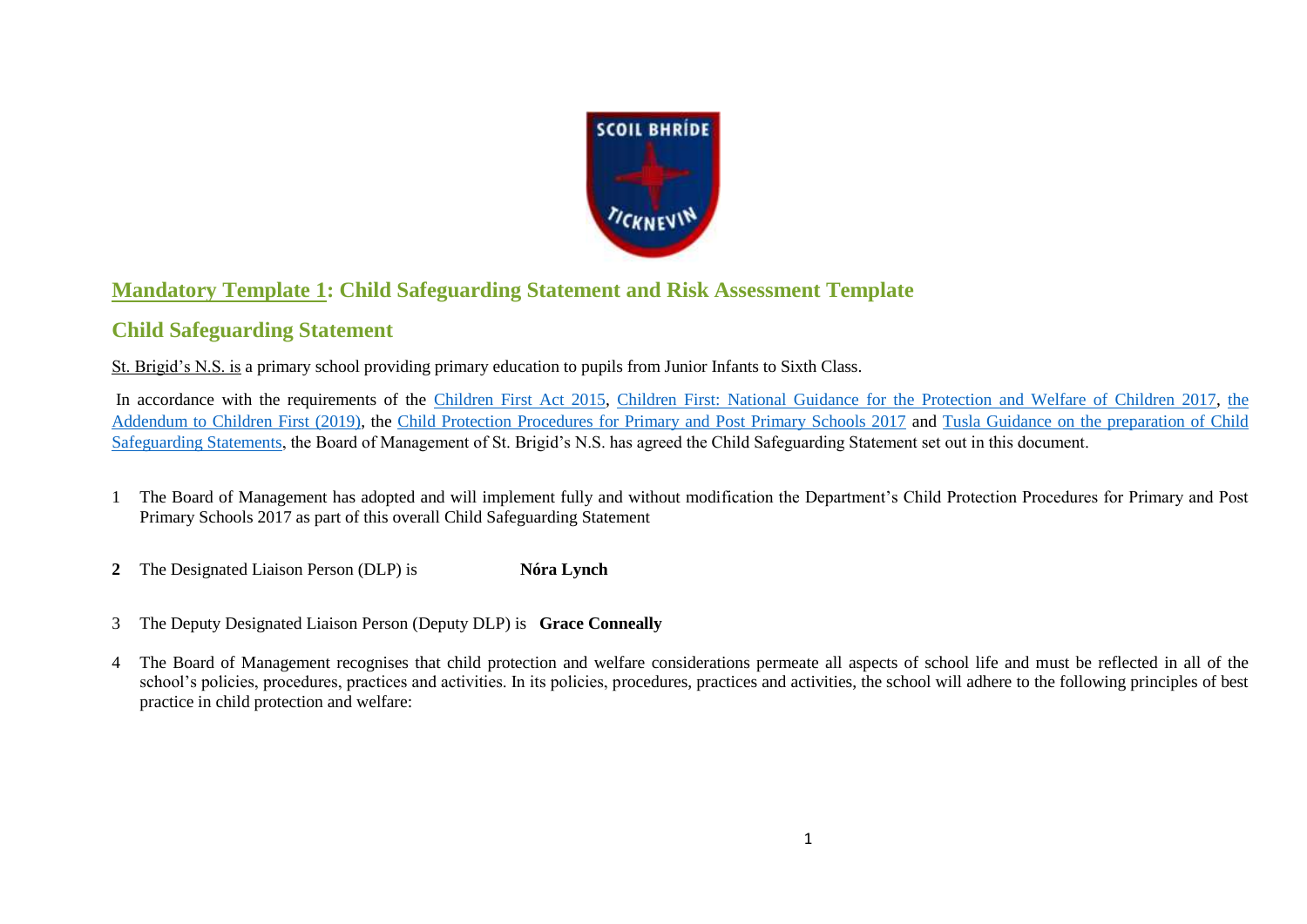

# **Mandatory Template 1: Child Safeguarding Statement and Risk Assessment Template**

## **Child Safeguarding Statement**

St. Brigid's N.S. is a primary school providing primary education to pupils from Junior Infants to Sixth Class.

In accordance with the requirements of the [Children First Act 2015,](http://www.irishstatutebook.ie/eli/2015/act/36/enacted/en/pdf) [Children First: National Guidance for the Protection and Welfare of Children 2017,](https://assets.gov.ie/25844/b90aafa55804462f84d05f87f0ca2bf6.pdf) [the](https://assets.gov.ie/25819/c9744b64dfd6447985eeffa5c0d71bbb.pdf)  [Addendum to Children First \(2019\),](https://assets.gov.ie/25819/c9744b64dfd6447985eeffa5c0d71bbb.pdf) the [Child Protection Procedures for Primary and Post Primary Schools 2017](https://www.gov.ie/pdf/?file=https://assets.gov.ie/45063/2d4b5b3d781e4ec1ab4f3e5d198717d9.pdf#page=1) and Tusla [Guidance on the preparation of Child](https://www.tusla.ie/uploads/content/4214-TUSLA_Guidance_on_Developing_a_CSS_LR.PDF)  [Safeguarding Statements,](https://www.tusla.ie/uploads/content/4214-TUSLA_Guidance_on_Developing_a_CSS_LR.PDF) the Board of Management of St. Brigid's N.S. has agreed the Child Safeguarding Statement set out in this document.

- 1 The Board of Management has adopted and will implement fully and without modification the Department's Child Protection Procedures for Primary and Post Primary Schools 2017 as part of this overall Child Safeguarding Statement
- **2** The Designated Liaison Person (DLP) is **Nóra Lynch**
- 3 The Deputy Designated Liaison Person (Deputy DLP) is **Grace Conneally**
- 4 The Board of Management recognises that child protection and welfare considerations permeate all aspects of school life and must be reflected in all of the school's policies, procedures, practices and activities. In its policies, procedures, practices and activities, the school will adhere to the following principles of best practice in child protection and welfare: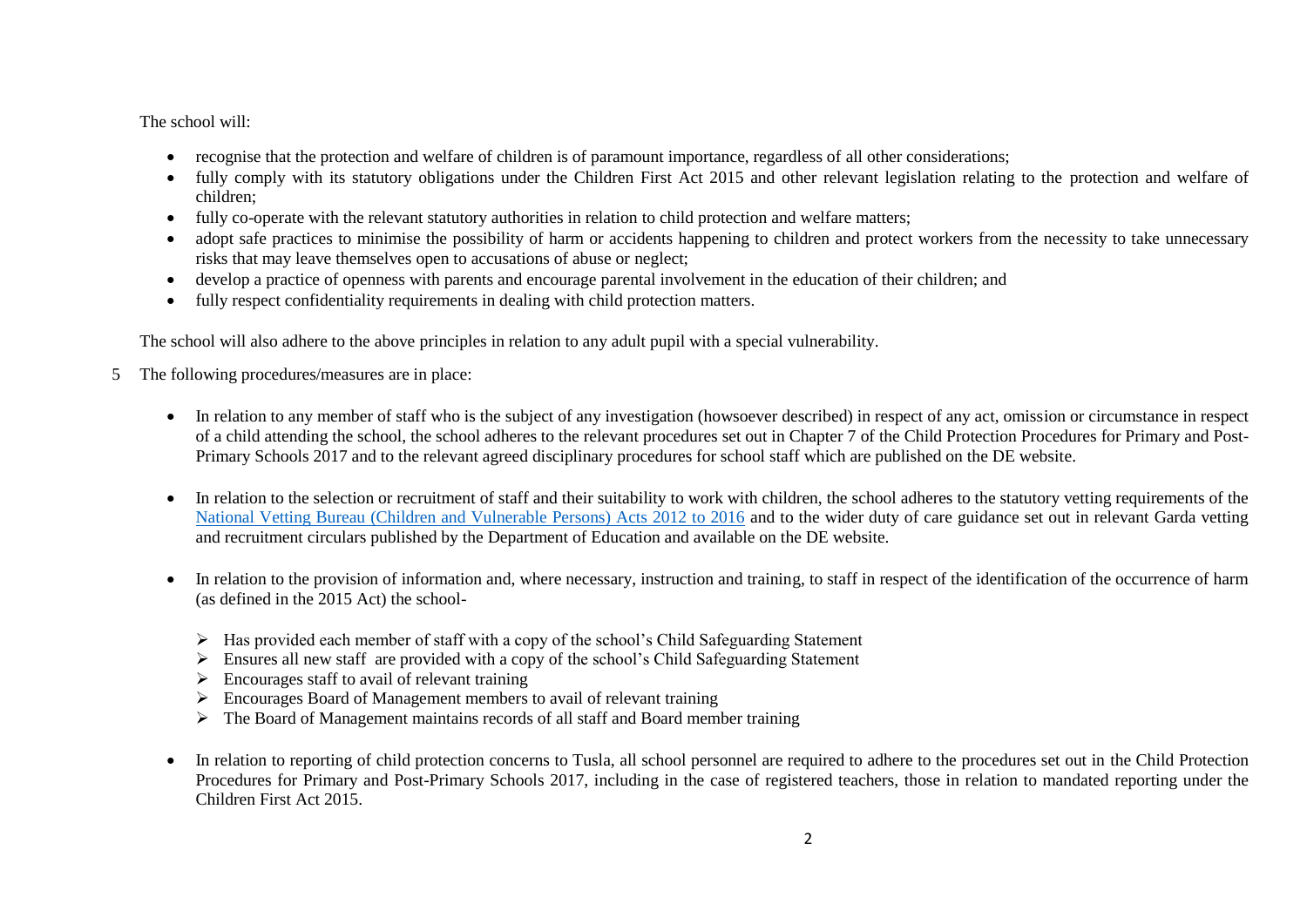The school will:

- recognise that the protection and welfare of children is of paramount importance, regardless of all other considerations;
- fully comply with its statutory obligations under the Children First Act 2015 and other relevant legislation relating to the protection and welfare of children;
- fully co-operate with the relevant statutory authorities in relation to child protection and welfare matters;
- adopt safe practices to minimise the possibility of harm or accidents happening to children and protect workers from the necessity to take unnecessary risks that may leave themselves open to accusations of abuse or neglect;
- develop a practice of openness with parents and encourage parental involvement in the education of their children; and
- fully respect confidentiality requirements in dealing with child protection matters.

The school will also adhere to the above principles in relation to any adult pupil with a special vulnerability.

- 5 The following procedures/measures are in place:
	- In relation to any member of staff who is the subject of any investigation (howsoever described) in respect of any act, omission or circumstance in respect of a child attending the school, the school adheres to the relevant procedures set out in Chapter 7 of the Child Protection Procedures for Primary and Post-Primary Schools 2017 and to the relevant agreed disciplinary procedures for school staff which are published on the DE website.
	- In relation to the selection or recruitment of staff and their suitability to work with children, the school adheres to the statutory vetting requirements of the [National Vetting Bureau \(Children and Vulnerable Persons\) Acts 2012 to 2016](https://revisedacts.lawreform.ie/eli/2012/act/47/revised/en/pdf) and to the wider duty of care guidance set out in relevant Garda vetting and recruitment circulars published by the Department of Education and available on the DE website.
	- In relation to the provision of information and, where necessary, instruction and training, to staff in respect of the identification of the occurrence of harm (as defined in the 2015 Act) the school-
		- Has provided each member of staff with a copy of the school's Child Safeguarding Statement
		- $\triangleright$  Ensures all new staff are provided with a copy of the school's Child Safeguarding Statement
		- $\triangleright$  Encourages staff to avail of relevant training
		- $\triangleright$  Encourages Board of Management members to avail of relevant training
		- $\triangleright$  The Board of Management maintains records of all staff and Board member training
	- In relation to reporting of child protection concerns to Tusla, all school personnel are required to adhere to the procedures set out in the Child Protection Procedures for Primary and Post-Primary Schools 2017, including in the case of registered teachers, those in relation to mandated reporting under the Children First Act 2015.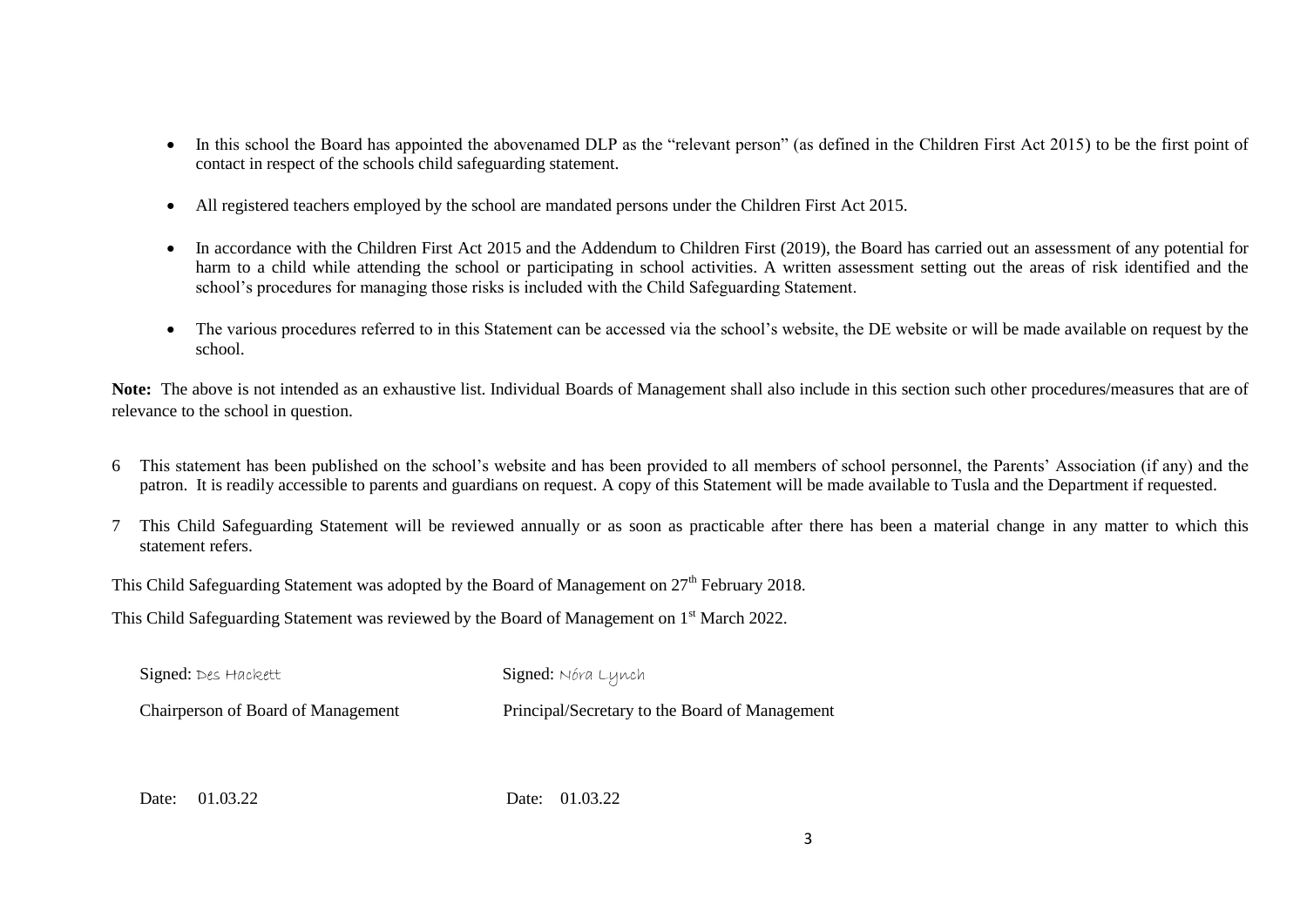- In this school the Board has appointed the abovenamed DLP as the "relevant person" (as defined in the Children First Act 2015) to be the first point of contact in respect of the schools child safeguarding statement.
- All registered teachers employed by the school are mandated persons under the Children First Act 2015.
- In accordance with the Children First Act 2015 and the Addendum to Children First (2019), the Board has carried out an assessment of any potential for harm to a child while attending the school or participating in school activities. A written assessment setting out the areas of risk identified and the school's procedures for managing those risks is included with the Child Safeguarding Statement.
- The various procedures referred to in this Statement can be accessed via the school's website, the DE website or will be made available on request by the school.

**Note:** The above is not intended as an exhaustive list. Individual Boards of Management shall also include in this section such other procedures/measures that are of relevance to the school in question.

- 6 This statement has been published on the school's website and has been provided to all members of school personnel, the Parents' Association (if any) and the patron. It is readily accessible to parents and guardians on request. A copy of this Statement will be made available to Tusla and the Department if requested.
- 7 This Child Safeguarding Statement will be reviewed annually or as soon as practicable after there has been a material change in any matter to which this statement refers.

This Child Safeguarding Statement was adopted by the Board of Management on  $27<sup>th</sup>$  February 2018.

This Child Safeguarding Statement was reviewed by the Board of Management on 1<sup>st</sup> March 2022.

| Signed: Des Hackett                | Signed: Nóra Lynch                             |
|------------------------------------|------------------------------------------------|
| Chairperson of Board of Management | Principal/Secretary to the Board of Management |

Date: 01.03.22 Date: 01.03.22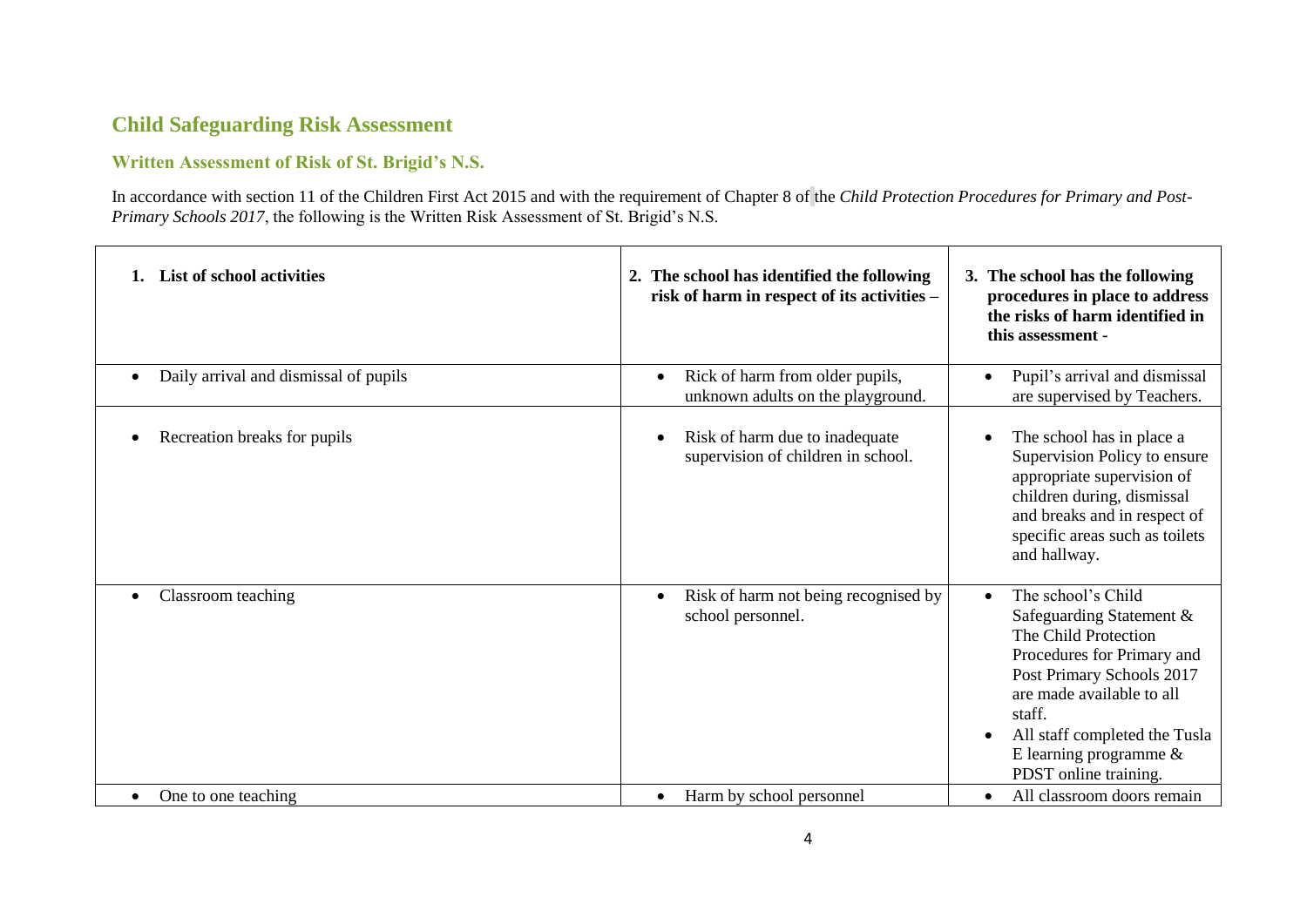### **Child Safeguarding Risk Assessment**

#### **Written Assessment of Risk of St. Brigid's N.S.**

In accordance with section 11 of the Children First Act 2015 and with the requirement of Chapter 8 of the *Child Protection Procedures for Primary and Post-Primary Schools 2017*, the following is the Written Risk Assessment of St. Brigid's N.S.

| List of school activities             | 2. The school has identified the following<br>risk of harm in respect of its activities - | 3. The school has the following<br>procedures in place to address<br>the risks of harm identified in<br>this assessment -                                                                                                                                                    |
|---------------------------------------|-------------------------------------------------------------------------------------------|------------------------------------------------------------------------------------------------------------------------------------------------------------------------------------------------------------------------------------------------------------------------------|
| Daily arrival and dismissal of pupils | Rick of harm from older pupils,<br>$\bullet$<br>unknown adults on the playground.         | Pupil's arrival and dismissal<br>$\bullet$<br>are supervised by Teachers.                                                                                                                                                                                                    |
| Recreation breaks for pupils          | Risk of harm due to inadequate<br>$\bullet$<br>supervision of children in school.         | The school has in place a<br>Supervision Policy to ensure<br>appropriate supervision of<br>children during, dismissal<br>and breaks and in respect of<br>specific areas such as toilets<br>and hallway.                                                                      |
| Classroom teaching                    | Risk of harm not being recognised by<br>$\bullet$<br>school personnel.                    | The school's Child<br>$\bullet$<br>Safeguarding Statement &<br>The Child Protection<br>Procedures for Primary and<br>Post Primary Schools 2017<br>are made available to all<br>staff.<br>All staff completed the Tusla<br>E learning programme $\&$<br>PDST online training. |
| One to one teaching                   | Harm by school personnel<br>$\bullet$                                                     | All classroom doors remain<br>$\bullet$                                                                                                                                                                                                                                      |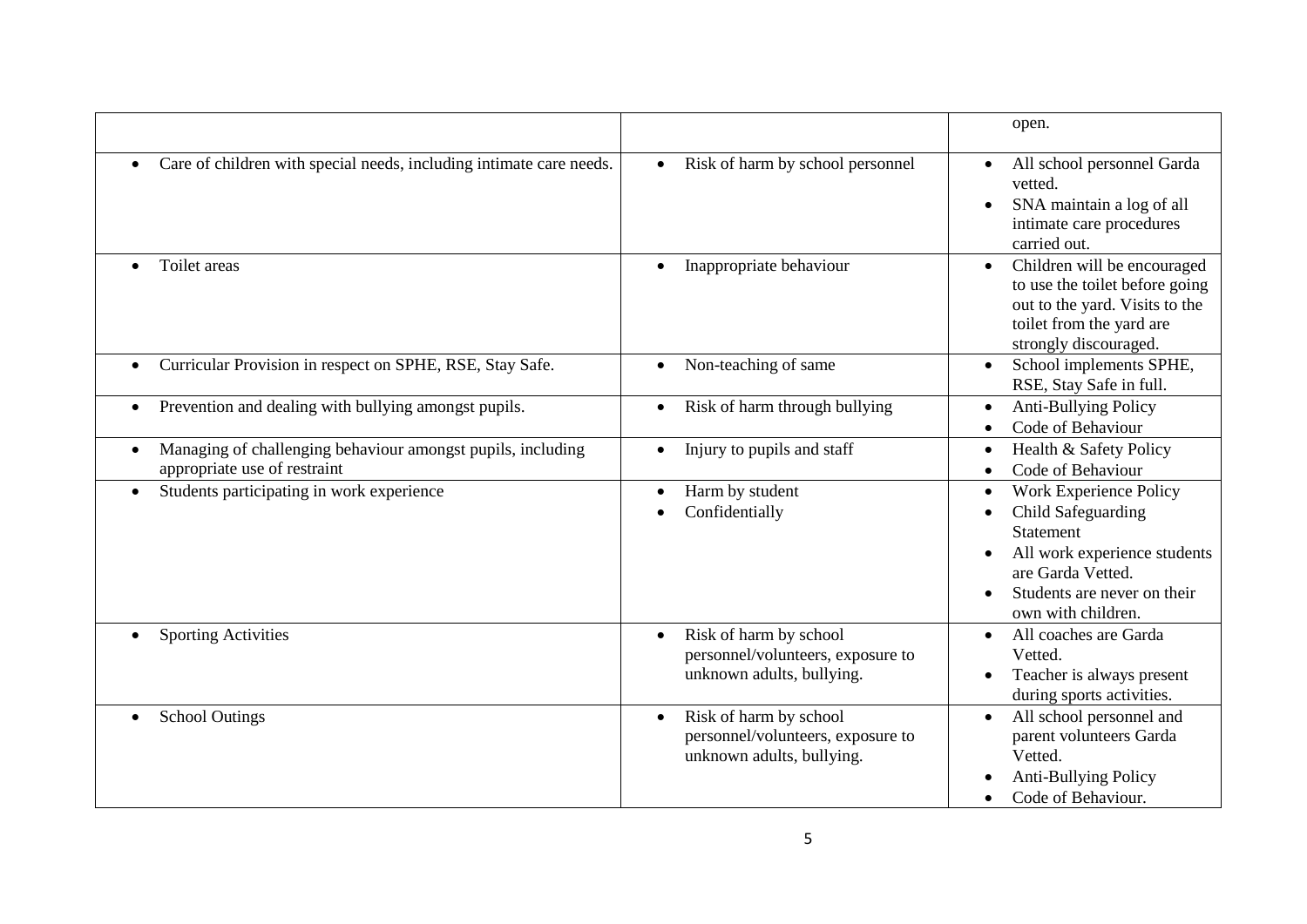|                                                                                             |                                                                                                       | open.                                                                                                                                                                                                                    |
|---------------------------------------------------------------------------------------------|-------------------------------------------------------------------------------------------------------|--------------------------------------------------------------------------------------------------------------------------------------------------------------------------------------------------------------------------|
| Care of children with special needs, including intimate care needs.                         | Risk of harm by school personnel<br>$\bullet$                                                         | All school personnel Garda<br>vetted.<br>SNA maintain a log of all<br>$\bullet$<br>intimate care procedures<br>carried out.                                                                                              |
| Toilet areas<br>$\bullet$                                                                   | Inappropriate behaviour<br>$\bullet$                                                                  | Children will be encouraged<br>$\bullet$<br>to use the toilet before going<br>out to the yard. Visits to the<br>toilet from the yard are<br>strongly discouraged.                                                        |
| Curricular Provision in respect on SPHE, RSE, Stay Safe.<br>$\bullet$                       | Non-teaching of same                                                                                  | School implements SPHE,<br>$\bullet$<br>RSE, Stay Safe in full.                                                                                                                                                          |
| Prevention and dealing with bullying amongst pupils.<br>٠                                   | Risk of harm through bullying                                                                         | <b>Anti-Bullying Policy</b><br>$\bullet$<br>Code of Behaviour<br>$\bullet$                                                                                                                                               |
| Managing of challenging behaviour amongst pupils, including<br>appropriate use of restraint | Injury to pupils and staff                                                                            | Health & Safety Policy<br>$\bullet$<br>Code of Behaviour<br>$\bullet$                                                                                                                                                    |
| Students participating in work experience<br>$\bullet$                                      | Harm by student<br>Confidentially                                                                     | <b>Work Experience Policy</b><br>$\bullet$<br>Child Safeguarding<br>$\bullet$<br><b>Statement</b><br>All work experience students<br>$\bullet$<br>are Garda Vetted.<br>Students are never on their<br>own with children. |
| <b>Sporting Activities</b>                                                                  | Risk of harm by school<br>$\bullet$<br>personnel/volunteers, exposure to<br>unknown adults, bullying. | All coaches are Garda<br>$\bullet$<br>Vetted.<br>Teacher is always present<br>during sports activities.                                                                                                                  |
| <b>School Outings</b>                                                                       | Risk of harm by school<br>personnel/volunteers, exposure to<br>unknown adults, bullying.              | All school personnel and<br>parent volunteers Garda<br>Vetted.<br>Anti-Bullying Policy<br>Code of Behaviour.<br>$\bullet$                                                                                                |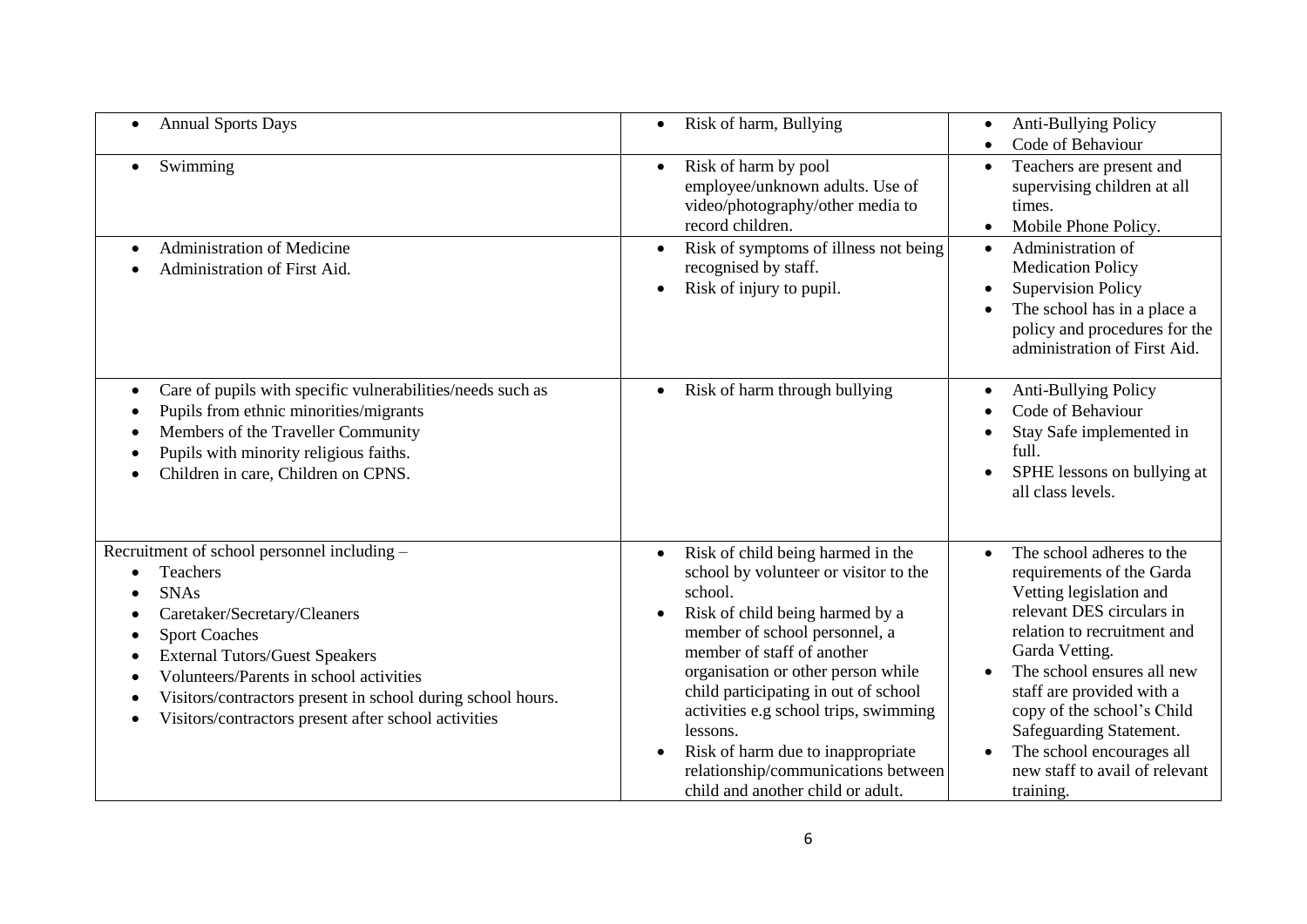| <b>Annual Sports Days</b><br>$\bullet$                                                                                                                                                                                                                                                                                                    | Risk of harm, Bullying<br>$\bullet$                                                                                                                                                                                                                                                                                                                                                                                                                                                | <b>Anti-Bullying Policy</b><br>$\bullet$<br>Code of Behaviour                                                                                                                                                                                                                                                                                                                |
|-------------------------------------------------------------------------------------------------------------------------------------------------------------------------------------------------------------------------------------------------------------------------------------------------------------------------------------------|------------------------------------------------------------------------------------------------------------------------------------------------------------------------------------------------------------------------------------------------------------------------------------------------------------------------------------------------------------------------------------------------------------------------------------------------------------------------------------|------------------------------------------------------------------------------------------------------------------------------------------------------------------------------------------------------------------------------------------------------------------------------------------------------------------------------------------------------------------------------|
| Swimming                                                                                                                                                                                                                                                                                                                                  | Risk of harm by pool<br>$\bullet$<br>employee/unknown adults. Use of<br>video/photography/other media to<br>record children.                                                                                                                                                                                                                                                                                                                                                       | Teachers are present and<br>supervising children at all<br>times.<br>Mobile Phone Policy.<br>$\bullet$                                                                                                                                                                                                                                                                       |
| <b>Administration of Medicine</b><br>Administration of First Aid.                                                                                                                                                                                                                                                                         | Risk of symptoms of illness not being<br>recognised by staff.<br>Risk of injury to pupil.<br>$\bullet$                                                                                                                                                                                                                                                                                                                                                                             | Administration of<br>$\bullet$<br><b>Medication Policy</b><br><b>Supervision Policy</b><br>The school has in a place a<br>policy and procedures for the<br>administration of First Aid.                                                                                                                                                                                      |
| Care of pupils with specific vulnerabilities/needs such as<br>$\bullet$<br>Pupils from ethnic minorities/migrants<br>Members of the Traveller Community<br>Pupils with minority religious faiths.<br>Children in care, Children on CPNS.                                                                                                  | Risk of harm through bullying<br>$\bullet$                                                                                                                                                                                                                                                                                                                                                                                                                                         | Anti-Bullying Policy<br>$\bullet$<br>Code of Behaviour<br>Stay Safe implemented in<br>full.<br>SPHE lessons on bullying at<br>all class levels.                                                                                                                                                                                                                              |
| Recruitment of school personnel including -<br>Teachers<br><b>SNAs</b><br>Caretaker/Secretary/Cleaners<br><b>Sport Coaches</b><br><b>External Tutors/Guest Speakers</b><br>Volunteers/Parents in school activities<br>Visitors/contractors present in school during school hours.<br>Visitors/contractors present after school activities | Risk of child being harmed in the<br>$\bullet$<br>school by volunteer or visitor to the<br>school.<br>Risk of child being harmed by a<br>$\bullet$<br>member of school personnel, a<br>member of staff of another<br>organisation or other person while<br>child participating in out of school<br>activities e.g school trips, swimming<br>lessons.<br>Risk of harm due to inappropriate<br>$\bullet$<br>relationship/communications between<br>child and another child or adult. | The school adheres to the<br>$\bullet$<br>requirements of the Garda<br>Vetting legislation and<br>relevant DES circulars in<br>relation to recruitment and<br>Garda Vetting.<br>The school ensures all new<br>staff are provided with a<br>copy of the school's Child<br>Safeguarding Statement.<br>The school encourages all<br>new staff to avail of relevant<br>training. |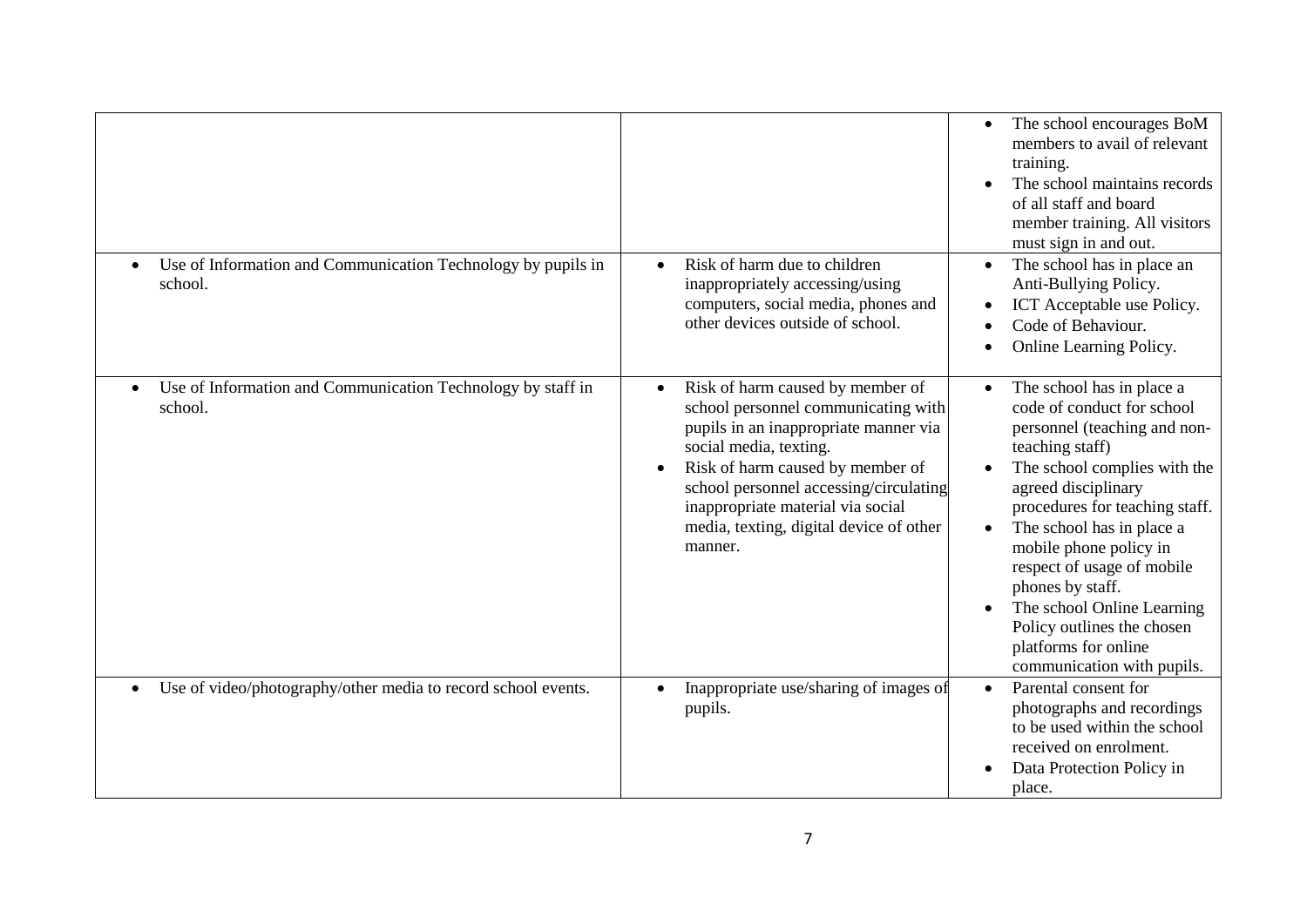| Use of Information and Communication Technology by pupils in           | Risk of harm due to children                                                                                                                                                                                                                                                                                                     | The school encourages BoM<br>members to avail of relevant<br>training.<br>The school maintains records<br>of all staff and board<br>member training. All visitors<br>must sign in and out.<br>The school has in place an                                                                                                                                                                                                       |
|------------------------------------------------------------------------|----------------------------------------------------------------------------------------------------------------------------------------------------------------------------------------------------------------------------------------------------------------------------------------------------------------------------------|--------------------------------------------------------------------------------------------------------------------------------------------------------------------------------------------------------------------------------------------------------------------------------------------------------------------------------------------------------------------------------------------------------------------------------|
| school.                                                                | inappropriately accessing/using<br>computers, social media, phones and<br>other devices outside of school.                                                                                                                                                                                                                       | Anti-Bullying Policy.<br>ICT Acceptable use Policy.<br>Code of Behaviour.<br>Online Learning Policy.                                                                                                                                                                                                                                                                                                                           |
| Use of Information and Communication Technology by staff in<br>school. | Risk of harm caused by member of<br>$\bullet$<br>school personnel communicating with<br>pupils in an inappropriate manner via<br>social media, texting.<br>Risk of harm caused by member of<br>school personnel accessing/circulating<br>inappropriate material via social<br>media, texting, digital device of other<br>manner. | The school has in place a<br>code of conduct for school<br>personnel (teaching and non-<br>teaching staff)<br>The school complies with the<br>agreed disciplinary<br>procedures for teaching staff.<br>The school has in place a<br>mobile phone policy in<br>respect of usage of mobile<br>phones by staff.<br>The school Online Learning<br>Policy outlines the chosen<br>platforms for online<br>communication with pupils. |
| Use of video/photography/other media to record school events.          | Inappropriate use/sharing of images of<br>pupils.                                                                                                                                                                                                                                                                                | Parental consent for<br>photographs and recordings<br>to be used within the school<br>received on enrolment.<br>Data Protection Policy in<br>place.                                                                                                                                                                                                                                                                            |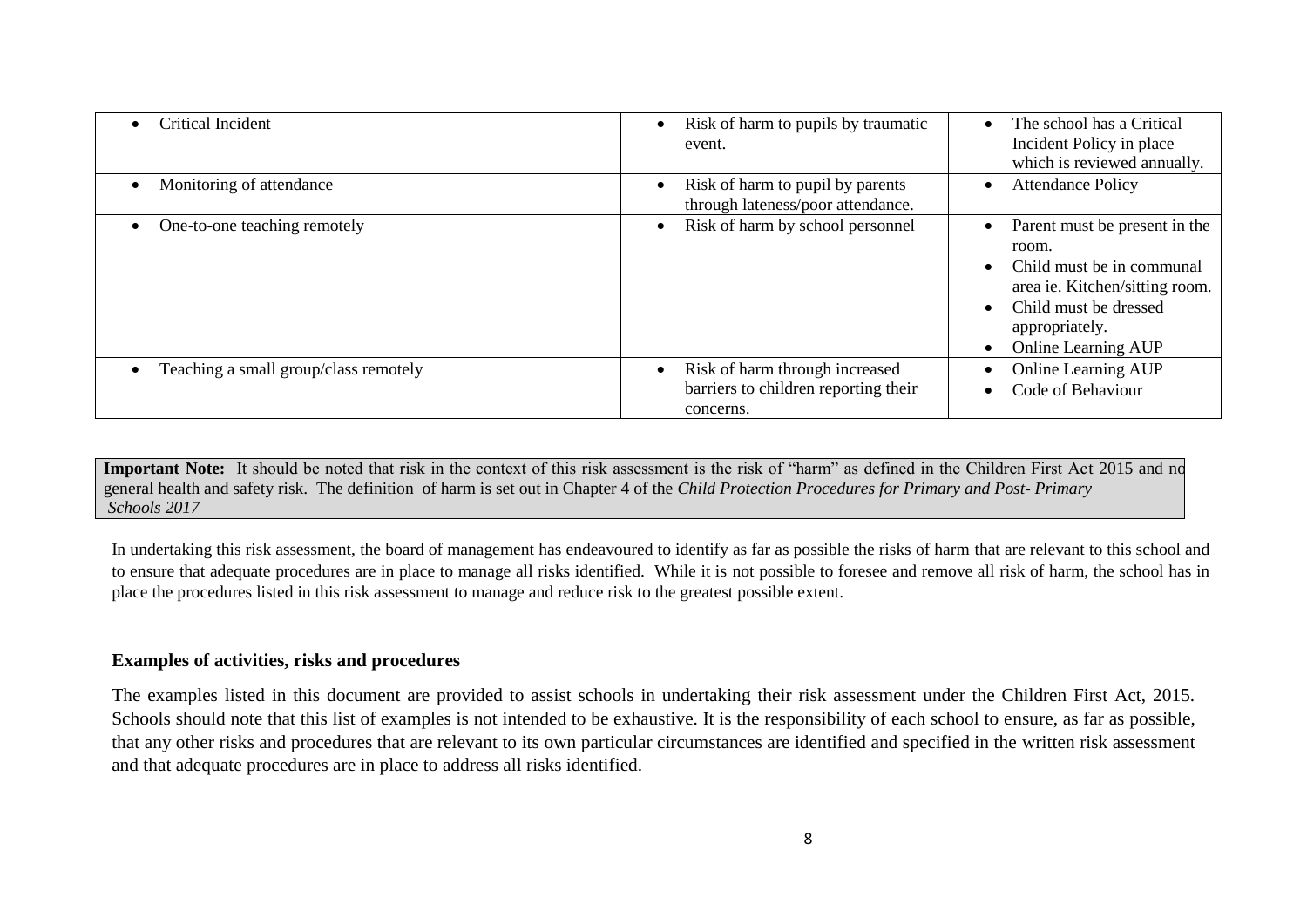| Critical Incident                     | Risk of harm to pupils by traumatic<br>$\bullet$<br>event.                                       | The school has a Critical<br>Incident Policy in place<br>which is reviewed annually.                                                                                           |
|---------------------------------------|--------------------------------------------------------------------------------------------------|--------------------------------------------------------------------------------------------------------------------------------------------------------------------------------|
| Monitoring of attendance              | Risk of harm to pupil by parents<br>$\bullet$<br>through lateness/poor attendance.               | <b>Attendance Policy</b>                                                                                                                                                       |
| One-to-one teaching remotely          | Risk of harm by school personnel<br>$\bullet$                                                    | Parent must be present in the<br>room.<br>Child must be in communal<br>area ie. Kitchen/sitting room.<br>Child must be dressed<br>appropriately.<br><b>Online Learning AUP</b> |
| Teaching a small group/class remotely | Risk of harm through increased<br>$\bullet$<br>barriers to children reporting their<br>concerns. | <b>Online Learning AUP</b><br>Code of Behaviour                                                                                                                                |

Important Note: It should be noted that risk in the context of this risk assessment is the risk of "harm" as defined in the Children First Act 2015 and no general health and safety risk. The definition of harm is set out in Chapter 4 of the *Child Protection Procedures for Primary and Post- Primary Schools 2017*

In undertaking this risk assessment, the board of management has endeavoured to identify as far as possible the risks of harm that are relevant to this school and to ensure that adequate procedures are in place to manage all risks identified. While it is not possible to foresee and remove all risk of harm, the school has in place the procedures listed in this risk assessment to manage and reduce risk to the greatest possible extent.

#### **Examples of activities, risks and procedures**

The examples listed in this document are provided to assist schools in undertaking their risk assessment under the Children First Act, 2015. Schools should note that this list of examples is not intended to be exhaustive. It is the responsibility of each school to ensure, as far as possible, that any other risks and procedures that are relevant to its own particular circumstances are identified and specified in the written risk assessment and that adequate procedures are in place to address all risks identified.